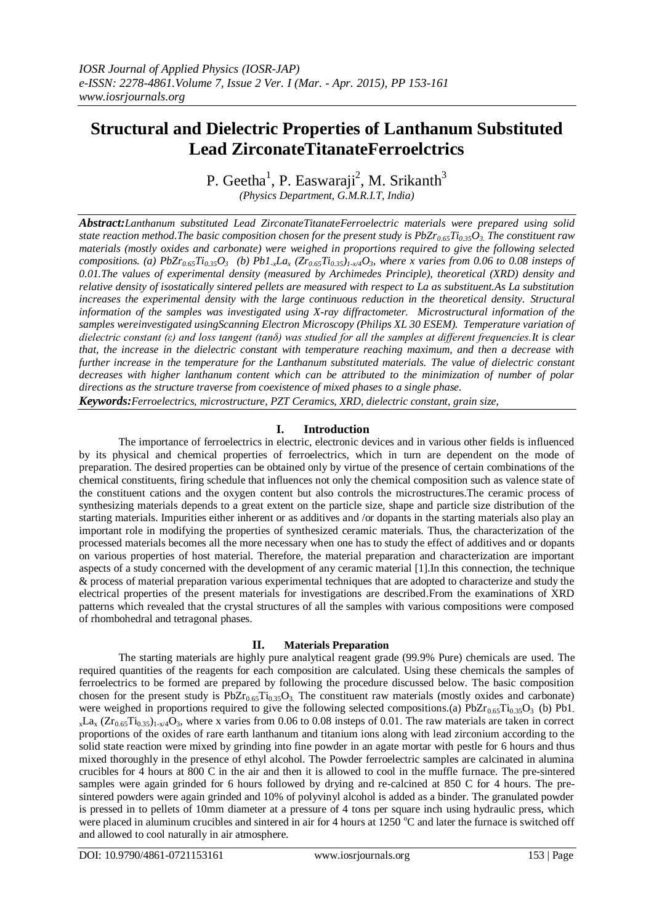# **Structural and Dielectric Properties of Lanthanum Substituted Lead ZirconateTitanateFerroelctrics**

P. Geetha<sup>1</sup>, P. Easwaraji<sup>2</sup>, M. Srikanth<sup>3</sup> *(Physics Department, G.M.R.I.T, India)*

*Abstract:Lanthanum substituted Lead ZirconateTitanateFerroelectric materials were prepared using solid state reaction method.The basic composition chosen for the present study is PbZr0.65Ti0.35O3. The constituent raw materials (mostly oxides and carbonate) were weighed in proportions required to give the following selected*  compositions. (a) PbZr<sub>0.65</sub>T<sub>10.35</sub>O<sub>3</sub> (b) Pb1<sub>x</sub>La<sub>x</sub> (Zr<sub>0.65</sub>T<sub>10.35</sub>)<sub>1x/4</sub>O<sub>3</sub>, where x varies from 0.06 to 0.08 insteps of *0.01.The values of experimental density (measured by Archimedes Principle), theoretical (XRD) density and relative density of isostatically sintered pellets are measured with respect to La as substituent.As La substitution increases the experimental density with the large continuous reduction in the theoretical density. Structural information of the samples was investigated using X-ray diffractometer. Microstructural information of the samples wereinvestigated usingScanning Electron Microscopy (Philips XL 30 ESEM). Temperature variation of dielectric constant (ε) and loss tangent (tanδ) was studied for all the samples at different frequencies.It is clear that, the increase in the dielectric constant with temperature reaching maximum, and then a decrease with further increase in the temperature for the Lanthanum substituted materials. The value of dielectric constant decreases with higher lanthanum content which can be attributed to the minimization of number of polar directions as the structure traverse from coexistence of mixed phases to a single phase.*

*Keywords:Ferroelectrics, microstructure, PZT Ceramics, XRD, dielectric constant, grain size,*

## **I. Introduction**

The importance of ferroelectrics in electric, electronic devices and in various other fields is influenced by its physical and chemical properties of ferroelectrics, which in turn are dependent on the mode of preparation. The desired properties can be obtained only by virtue of the presence of certain combinations of the chemical constituents, firing schedule that influences not only the chemical composition such as valence state of the constituent cations and the oxygen content but also controls the microstructures.The ceramic process of synthesizing materials depends to a great extent on the particle size, shape and particle size distribution of the starting materials. Impurities either inherent or as additives and /or dopants in the starting materials also play an important role in modifying the properties of synthesized ceramic materials. Thus, the characterization of the processed materials becomes all the more necessary when one has to study the effect of additives and or dopants on various properties of host material. Therefore, the material preparation and characterization are important aspects of a study concerned with the development of any ceramic material [1].In this connection, the technique & process of material preparation various experimental techniques that are adopted to characterize and study the electrical properties of the present materials for investigations are described.From the examinations of XRD patterns which revealed that the crystal structures of all the samples with various compositions were composed of rhombohedral and tetragonal phases.

#### **II. Materials Preparation**

The starting materials are highly pure analytical reagent grade (99.9% Pure) chemicals are used. The required quantities of the reagents for each composition are calculated. Using these chemicals the samples of ferroelectrics to be formed are prepared by following the procedure discussed below. The basic composition chosen for the present study is  $PbZr_{0.65}Ti_{0.35}O_3$ . The constituent raw materials (mostly oxides and carbonate) were weighed in proportions required to give the following selected compositions.(a) PbZr<sub>0.65</sub>Ti<sub>0.35</sub>O<sub>3</sub> (b) Pb1.  $_{x}La_{x} (Zr_{0.65}Ti_{0.35})_{1-x/4}O_3$ , where x varies from 0.06 to 0.08 insteps of 0.01. The raw materials are taken in correct proportions of the oxides of rare earth lanthanum and titanium ions along with lead zirconium according to the solid state reaction were mixed by grinding into fine powder in an agate mortar with pestle for 6 hours and thus mixed thoroughly in the presence of ethyl alcohol. The Powder ferroelectric samples are calcinated in alumina crucibles for 4 hours at 800 C in the air and then it is allowed to cool in the muffle furnace. The pre-sintered samples were again grinded for 6 hours followed by drying and re-calcined at 850 C for 4 hours. The presintered powders were again grinded and 10% of polyvinyl alcohol is added as a binder. The granulated powder is pressed in to pellets of 10mm diameter at a pressure of 4 tons per square inch using hydraulic press, which were placed in aluminum crucibles and sintered in air for 4 hours at 1250  $^{\circ}$ C and later the furnace is switched off and allowed to cool naturally in air atmosphere.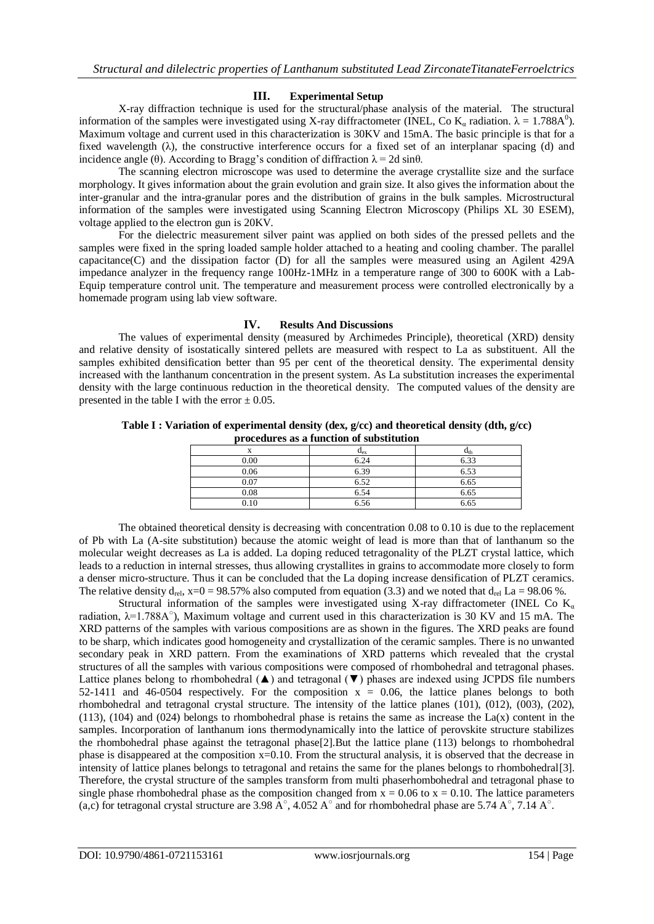### **III. Experimental Setup**

X-ray diffraction technique is used for the structural/phase analysis of the material. The structural information of the samples were investigated using X-ray diffractometer (INEL, Co K<sub>a</sub> radiation.  $\lambda = 1.788A^0$ ). Maximum voltage and current used in this characterization is 30KV and 15mA. The basic principle is that for a fixed wavelength (λ), the constructive interference occurs for a fixed set of an interplanar spacing (d) and incidence angle (θ). According to Bragg's condition of diffraction  $\lambda = 2d \sin \theta$ .

The scanning electron microscope was used to determine the average crystallite size and the surface morphology. It gives information about the grain evolution and grain size. It also gives the information about the inter-granular and the intra-granular pores and the distribution of grains in the bulk samples. Microstructural information of the samples were investigated using Scanning Electron Microscopy (Philips XL 30 ESEM), voltage applied to the electron gun is 20KV.

For the dielectric measurement silver paint was applied on both sides of the pressed pellets and the samples were fixed in the spring loaded sample holder attached to a heating and cooling chamber. The parallel capacitance(C) and the dissipation factor (D) for all the samples were measured using an Agilent 429A impedance analyzer in the frequency range 100Hz-1MHz in a temperature range of 300 to 600K with a Lab-Equip temperature control unit. The temperature and measurement process were controlled electronically by a homemade program using lab view software.

### **IV. Results And Discussions**

The values of experimental density (measured by Archimedes Principle), theoretical (XRD) density and relative density of isostatically sintered pellets are measured with respect to La as substituent. All the samples exhibited densification better than 95 per cent of the theoretical density. The experimental density increased with the lanthanum concentration in the present system. As La substitution increases the experimental density with the large continuous reduction in the theoretical density. The computed values of the density are presented in the table I with the error  $\pm$  0.05.

**Table I : Variation of experimental density (dex, g/cc) and theoretical density (dth, g/cc) procedures as a function of substitution**

|      | $u_{\rm ex}$ | $\mathbf{u}_{\text{th}}$ |
|------|--------------|--------------------------|
| 0.00 | 6.24         | 6.33                     |
| 0.06 | 6.39         | 6.53                     |
| 0.07 | 6.52         | 6.65                     |
| 0.08 | 6.54         | 6.65                     |
| 0.10 | 6.56         | 6.65                     |

The obtained theoretical density is decreasing with concentration 0.08 to 0.10 is due to the replacement of Pb with La (A-site substitution) because the atomic weight of lead is more than that of lanthanum so the molecular weight decreases as La is added. La doping reduced tetragonality of the PLZT crystal lattice, which leads to a reduction in internal stresses, thus allowing crystallites in grains to accommodate more closely to form a denser micro-structure. Thus it can be concluded that the La doping increase densification of PLZT ceramics. The relative density  $d_{rel}$ ,  $x=0 = 98.57\%$  also computed from equation (3.3) and we noted that  $d_{rel}$  La = 98.06 %.

Structural information of the samples were investigated using X-ray diffractometer (INEL Co  $K_{\alpha}$ radiation,  $\lambda$ =1.788A $^{\circ}$ ), Maximum voltage and current used in this characterization is 30 KV and 15 mA. The XRD patterns of the samples with various compositions are as shown in the figures. The XRD peaks are found to be sharp, which indicates good homogeneity and crystallization of the ceramic samples. There is no unwanted secondary peak in XRD pattern. From the examinations of XRD patterns which revealed that the crystal structures of all the samples with various compositions were composed of rhombohedral and tetragonal phases. Lattice planes belong to rhombohedral  $(\triangle)$  and tetragonal  $(\triangledown)$  phases are indexed using JCPDS file numbers 52-1411 and 46-0504 respectively. For the composition  $x = 0.06$ , the lattice planes belongs to both rhombohedral and tetragonal crystal structure. The intensity of the lattice planes (101), (012), (003), (202),  $(113)$ ,  $(104)$  and  $(024)$  belongs to rhombohedral phase is retains the same as increase the La(x) content in the samples. Incorporation of lanthanum ions thermodynamically into the lattice of perovskite structure stabilizes the rhombohedral phase against the tetragonal phase[2].But the lattice plane (113) belongs to rhombohedral phase is disappeared at the composition  $x=0.10$ . From the structural analysis, it is observed that the decrease in intensity of lattice planes belongs to tetragonal and retains the same for the planes belongs to rhombohedral[3]. Therefore, the crystal structure of the samples transform from multi phaserhombohedral and tetragonal phase to single phase rhombohedral phase as the composition changed from  $x = 0.06$  to  $x = 0.10$ . The lattice parameters (a,c) for tetragonal crystal structure are 3.98 A<sup>o</sup>, 4.052 A<sup>o</sup> and for rhombohedral phase are 5.74 A<sup>o</sup>, 7.14 A<sup>o</sup>.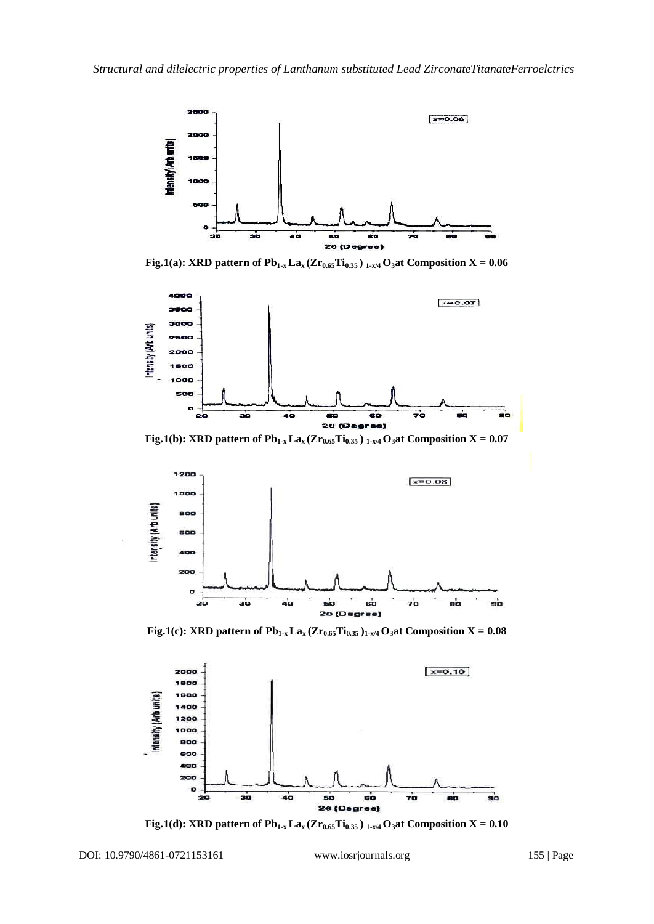

**Fig.1(a): XRD pattern of Pb1-x Lax (Zr0.65Ti0.35 ) 1-x/4 O3at Composition X = 0.06**



**Fig.1(b): XRD pattern of**  $Pb_{1-x}$  $La_x$  **(** $Zr_{0.65}$  $Ti_{0.35}$ **)**  $I_{-x/4}$  $O_3$  **at Composition X = 0.07** 



**Fig.1(c): XRD pattern of**  $Pb_{1-x}$  $La_x$  $(Zr_{0.65}Ti_{0.35})_{1-x/4}$  $O_3$  **at Composition X = 0.08** 



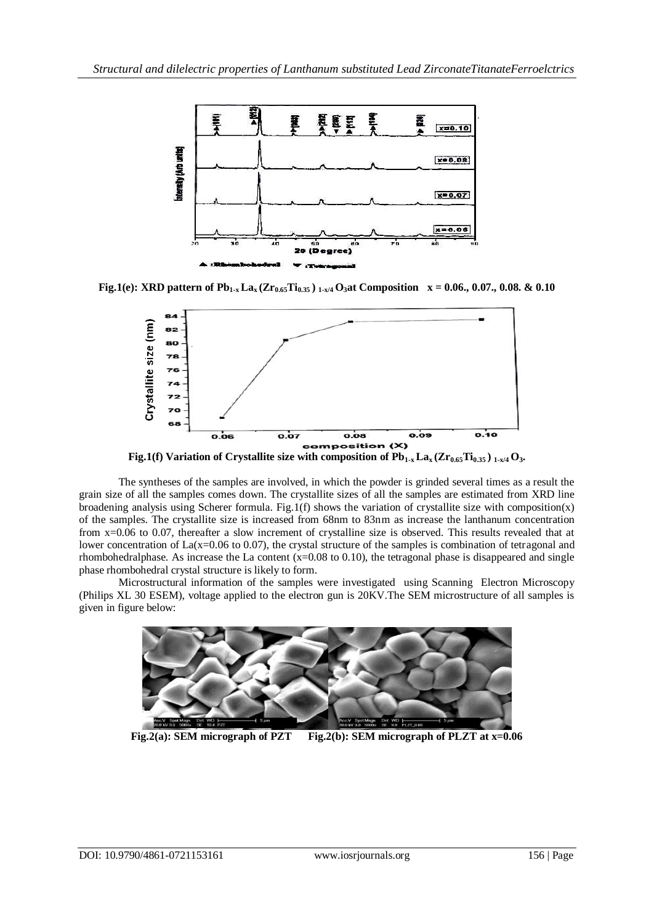

**Fig.1(e): XRD pattern of**  $Pb_{1-x}$  $\text{La}_x$  $(Zr_{0.65}Ti_{0.35})$  $_{1-x/4}$  $O_3$  **at Composition**  $x = 0.06, 0.07, 0.08$ **. &**  $0.10$ 



**Fig.1(f)** Variation of Crystallite size with composition of  $Pb_{1-x} La_x (Zr_{0.65}Ti_{0.35})_{1-x/4} O_3$ .

The syntheses of the samples are involved, in which the powder is grinded several times as a result the grain size of all the samples comes down. The crystallite sizes of all the samples are estimated from XRD line broadening analysis using Scherer formula. Fig.1(f) shows the variation of crystallite size with composition(x) of the samples. The crystallite size is increased from 68nm to 83nm as increase the lanthanum concentration from x=0.06 to 0.07, thereafter a slow increment of crystalline size is observed. This results revealed that at lower concentration of  $La(x=0.06 \text{ to } 0.07)$ , the crystal structure of the samples is combination of tetragonal and rhombohedralphase. As increase the La content (x=0.08 to 0.10), the tetragonal phase is disappeared and single phase rhombohedral crystal structure is likely to form.

Microstructural information of the samples were investigated using Scanning Electron Microscopy (Philips XL 30 ESEM), voltage applied to the electron gun is 20KV.The SEM microstructure of all samples is given in figure below:



**Fig.2(a): SEM micrograph of PZT Fig.2(b): SEM micrograph of PLZT at x=0.06**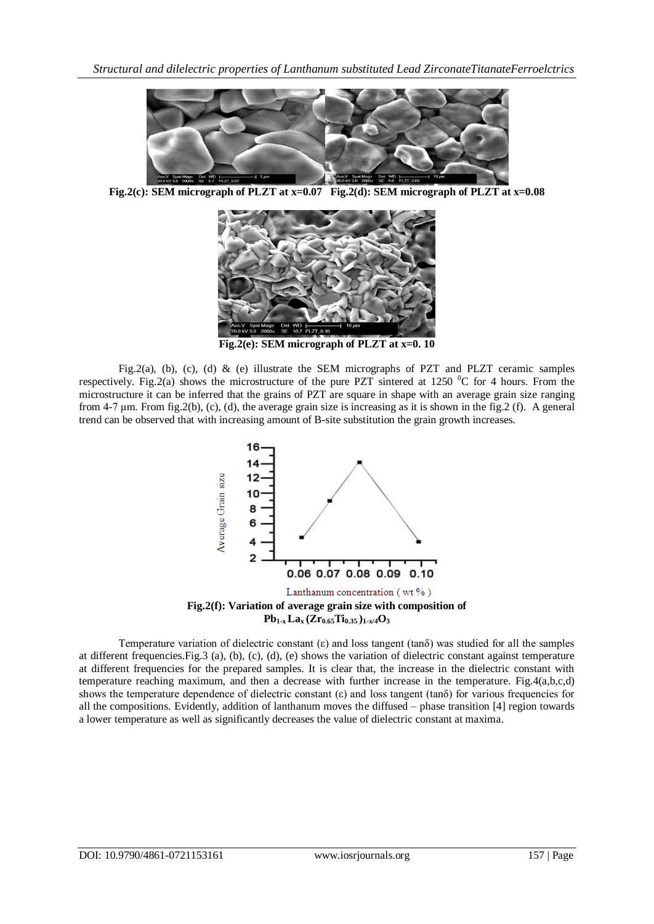

**Fig.2(c): SEM micrograph of PLZT at x=0.07 Fig.2(d): SEM micrograph of PLZT at x=0.08**



**Fig.2(e): SEM micrograph of PLZT at x=0. 10**

Fig.2(a), (b), (c), (d) & (e) illustrate the SEM micrographs of PZT and PLZT ceramic samples respectively. Fig.2(a) shows the microstructure of the pure PZT sintered at 1250  $\rm{^0C}$  for 4 hours. From the microstructure it can be inferred that the grains of PZT are square in shape with an average grain size ranging from 4-7 um. From fig.2(b), (c), (d), the average grain size is increasing as it is shown in the fig.2 (f). A general trend can be observed that with increasing amount of B-site substitution the grain growth increases.



Temperature variation of dielectric constant (ε) and loss tangent (tanδ) was studied for all the samples at different frequencies.Fig.3 (a), (b), (c), (d), (e) shows the variation of dielectric constant against temperature at different frequencies for the prepared samples. It is clear that, the increase in the dielectric constant with temperature reaching maximum, and then a decrease with further increase in the temperature. Fig.4(a,b,c,d) shows the temperature dependence of dielectric constant (ε) and loss tangent (tanδ) for various frequencies for all the compositions. Evidently, addition of lanthanum moves the diffused – phase transition [4] region towards a lower temperature as well as significantly decreases the value of dielectric constant at maxima.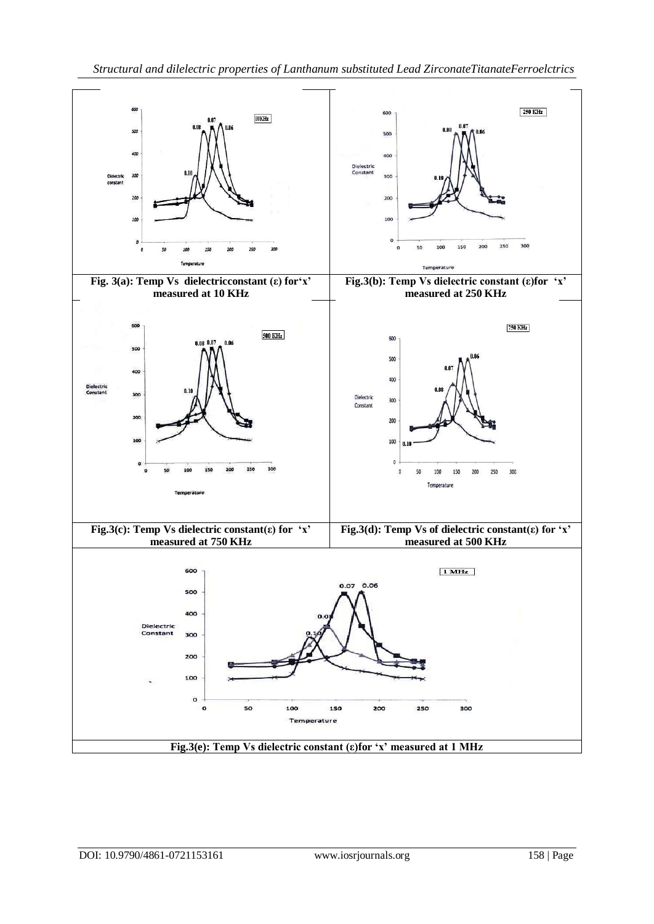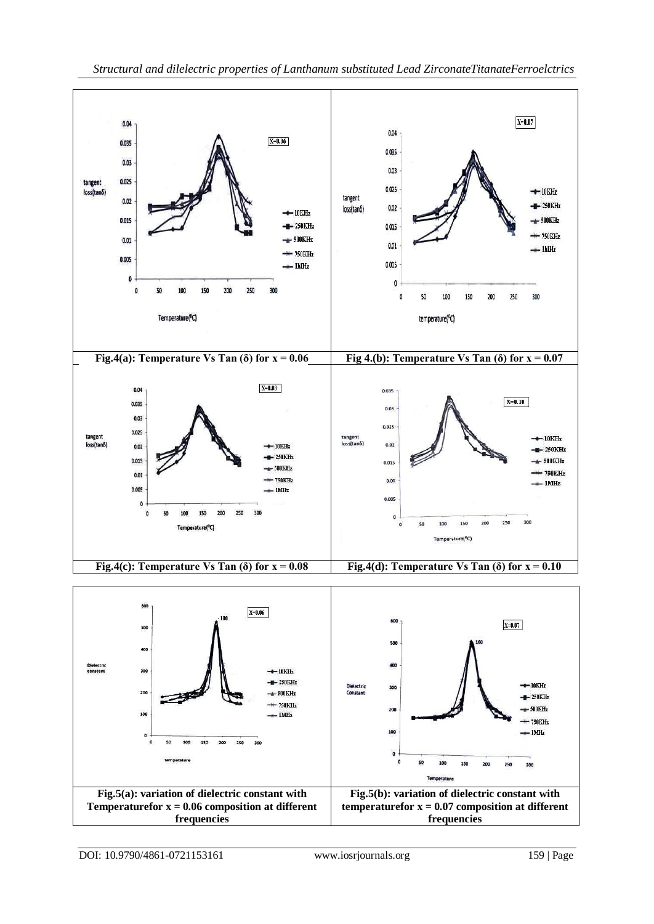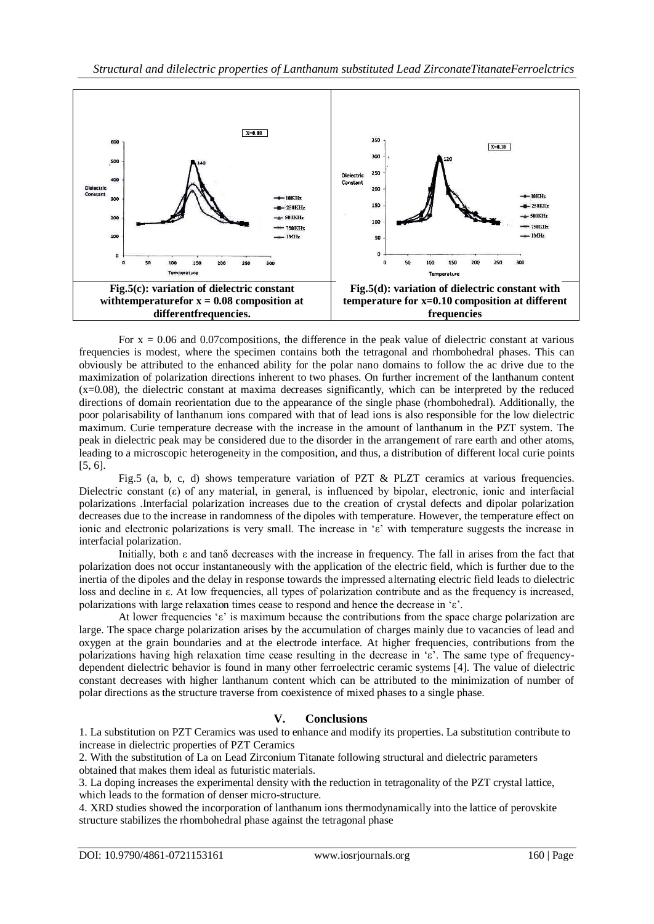

For  $x = 0.06$  and 0.07 compositions, the difference in the peak value of dielectric constant at various frequencies is modest, where the specimen contains both the tetragonal and rhombohedral phases. This can obviously be attributed to the enhanced ability for the polar nano domains to follow the ac drive due to the maximization of polarization directions inherent to two phases. On further increment of the lanthanum content  $(x=0.08)$ , the dielectric constant at maxima decreases significantly, which can be interpreted by the reduced directions of domain reorientation due to the appearance of the single phase (rhombohedral). Additionally, the poor polarisability of lanthanum ions compared with that of lead ions is also responsible for the low dielectric maximum. Curie temperature decrease with the increase in the amount of lanthanum in the PZT system. The peak in dielectric peak may be considered due to the disorder in the arrangement of rare earth and other atoms, leading to a microscopic heterogeneity in the composition, and thus, a distribution of different local curie points [5, 6].

Fig.5 (a, b, c, d) shows temperature variation of PZT & PLZT ceramics at various frequencies. Dielectric constant (ε) of any material, in general, is influenced by bipolar, electronic, ionic and interfacial polarizations .Interfacial polarization increases due to the creation of crystal defects and dipolar polarization decreases due to the increase in randomness of the dipoles with temperature. However, the temperature effect on ionic and electronic polarizations is very small. The increase in 'ε' with temperature suggests the increase in interfacial polarization.

Initially, both ε and tanδ decreases with the increase in frequency. The fall in arises from the fact that polarization does not occur instantaneously with the application of the electric field, which is further due to the inertia of the dipoles and the delay in response towards the impressed alternating electric field leads to dielectric loss and decline in ε. At low frequencies, all types of polarization contribute and as the frequency is increased, polarizations with large relaxation times cease to respond and hence the decrease in 'ε'.

At lower frequencies 'ε' is maximum because the contributions from the space charge polarization are large. The space charge polarization arises by the accumulation of charges mainly due to vacancies of lead and oxygen at the grain boundaries and at the electrode interface. At higher frequencies, contributions from the polarizations having high relaxation time cease resulting in the decrease in 'ε'. The same type of frequencydependent dielectric behavior is found in many other ferroelectric ceramic systems [4]. The value of dielectric constant decreases with higher lanthanum content which can be attributed to the minimization of number of polar directions as the structure traverse from coexistence of mixed phases to a single phase.

## **V. Conclusions**

1. La substitution on PZT Ceramics was used to enhance and modify its properties. La substitution contribute to increase in dielectric properties of PZT Ceramics

2. With the substitution of La on Lead Zirconium Titanate following structural and dielectric parameters obtained that makes them ideal as futuristic materials.

3. La doping increases the experimental density with the reduction in tetragonality of the PZT crystal lattice, which leads to the formation of denser micro-structure.

4. XRD studies showed the incorporation of lanthanum ions thermodynamically into the lattice of perovskite structure stabilizes the rhombohedral phase against the tetragonal phase